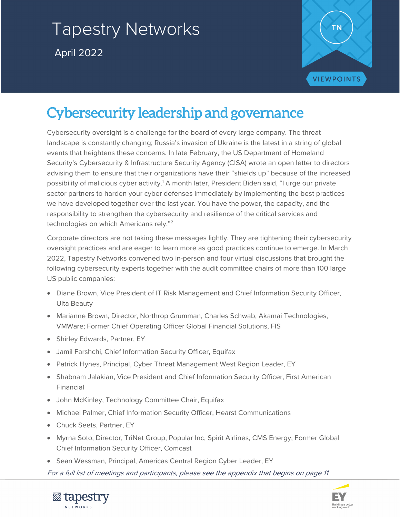# Tapestry Networks April 2022



## Cybersecurity leadership and governance

Cybersecurity oversight is a challenge for the board of every large company. The threat landscape is constantly changing; Russia's invasion of Ukraine is the latest in a string of global events that heightens these concerns. In late February, the US Department of Homeland Security's Cybersecurity & Infrastructure Security Agency (CISA) wrote an open letter to directors advising them to ensure that their organizations have their "shields up" because of the increased possibility of malicious cyber activity.<sup>1</sup> A month later, President Biden said, "I urge our private sector partners to harden your cyber defenses immediately by implementing the best practices we have developed together over the last year. You have the power, the capacity, and the responsibility to strengthen the cybersecurity and resilience of the critical services and technologies on which Americans rely."2

Corporate directors are not taking these messages lightly. They are tightening their cybersecurity oversight practices and are eager to learn more as good practices continue to emerge. In March 2022, Tapestry Networks convened two in-person and four virtual discussions that brought the following cybersecurity experts together with the audit committee chairs of more than 100 large US public companies:

- Diane Brown, Vice President of IT Risk Management and Chief Information Security Officer, Ulta Beauty
- Marianne Brown, Director, Northrop Grumman, Charles Schwab, Akamai Technologies, VMWare; Former Chief Operating Officer Global Financial Solutions, FIS
- Shirley Edwards, Partner, EY
- Jamil Farshchi, Chief Information Security Officer, Equifax
- Patrick Hynes, Principal, Cyber Threat Management West Region Leader, EY
- Shabnam Jalakian, Vice President and Chief Information Security Officer, First American Financial
- John McKinley, Technology Committee Chair, Equifax
- Michael Palmer, Chief Information Security Officer, Hearst Communications
- Chuck Seets, Partner, EY
- Myrna Soto, Director, TriNet Group, Popular Inc, Spirit Airlines, CMS Energy; Former Global Chief Information Security Officer, Comcast
- Sean Wessman, Principal, Americas Central Region Cyber Leader, EY

For a full list of meetings and participants, please see the appendix that begins on page 11.



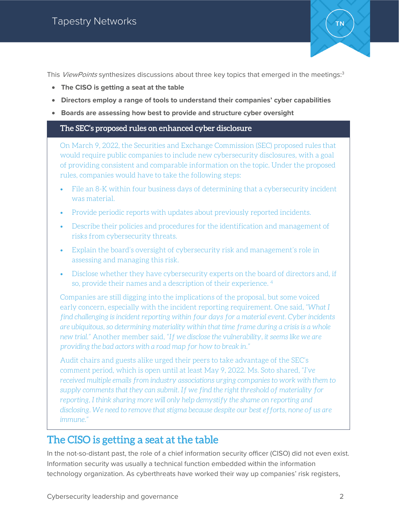

This ViewPoints synthesizes discussions about three key topics that emerged in the meetings:<sup>3</sup>

- **The CISO is getting a seat at the table**
- **Directors employ a range of tools to understand their companies' cyber capabilities**
- **Boards are assessing how best to provide and structure cyber oversight**

#### The SEC's proposed rules on enhanced cyber disclosure

On March 9, 2022, the Securities and Exchange Commission (SEC) proposed rules that would require public companies to include new cybersecurity disclosures, with a goal of providing consistent and comparable information on the topic. Under the proposed rules, companies would have to take the following steps:

- File an 8-K within four business days of determining that a cybersecurity incident was material.
- Provide periodic reports with updates about previously reported incidents.
- Describe their policies and procedures for the identification and management of risks from cybersecurity threats.
- Explain the board's oversight of cybersecurity risk and management's role in assessing and managing this risk.
- Disclose whether they have cybersecurity experts on the board of directors and, if so, provide their names and a description of their experience. 4

Companies are still digging into the implications of the proposal, but some voiced early concern, especially with the incident reporting requirement. One said, *"What I find challenging is incident reporting within four days for a material event. Cyber incidents are ubiquitous, so determining materiality within that time frame during a crisis is a whole new trial."* Another member said, *"If we disclose the vulnerability, it seems like we are providing the bad actors with a road map for how to break in."* 

Audit chairs and guests alike urged their peers to take advantage of the SEC's comment period, which is open until at least May 9, 2022. Ms. Soto shared, *"I've received multiple emails from industry associations urging companies to work with them to supply comments that they can submit. If we find the right threshold of materiality for reporting, I think sharing more will only help demystify the shame on reporting and disclosing. We need to remove that stigma because despite our best efforts, none of us are immune."* 

## The CISO is getting a seat at the table

In the not-so-distant past, the role of a chief information security officer (CISO) did not even exist. Information security was usually a technical function embedded within the information technology organization. As cyberthreats have worked their way up companies' risk registers,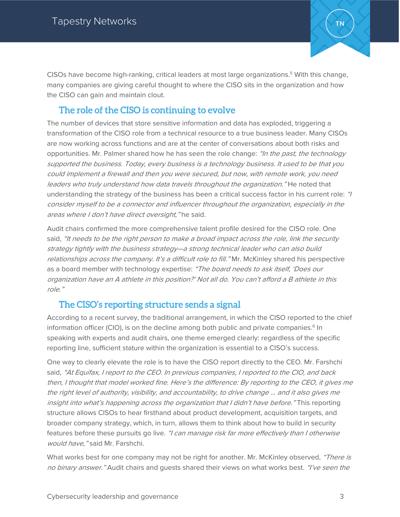

CISOs have become high-ranking, critical leaders at most large organizations.<sup>5</sup> With this change, many companies are giving careful thought to where the CISO sits in the organization and how the CISO can gain and maintain clout.

#### The role of the CISO is continuing to evolve

The number of devices that store sensitive information and data has exploded, triggering a transformation of the CISO role from a technical resource to a true business leader. Many CISOs are now working across functions and are at the center of conversations about both risks and opportunities. Mr. Palmer shared how he has seen the role change: "In the past, the technology supported the business. Today, every business is a technology business. It used to be that you could implement a firewall and then you were secured, but now, with remote work, you need leaders who truly understand how data travels throughout the organization." He noted that understanding the strategy of the business has been a critical success factor in his current role: "I consider myself to be a connector and influencer throughout the organization, especially in the areas where I don't have direct oversight," he said.

Audit chairs confirmed the more comprehensive talent profile desired for the CISO role. One said, "It needs to be the right person to make a broad impact across the role, link the security strategy tightly with the business strategy—a strong technical leader who can also build relationships across the company. It's a difficult role to fill." Mr. McKinley shared his perspective as a board member with technology expertise: "The board needs to ask itself, 'Does our organization have an A athlete in this position?' Not all do. You can't afford a B athlete in this role."

#### The CISO's reporting structure sends a signal

According to a recent survey, the traditional arrangement, in which the CISO reported to the chief information officer (CIO), is on the decline among both public and private companies.<sup>6</sup> In speaking with experts and audit chairs, one theme emerged clearly: regardless of the specific reporting line, sufficient stature within the organization is essential to a CISO's success.

One way to clearly elevate the role is to have the CISO report directly to the CEO. Mr. Farshchi said, "At Equifax, I report to the CEO. In previous companies, I reported to the CIO, and back then, I thought that model worked fine. Here's the difference: By reporting to the CEO, it gives me the right level of authority, visibility, and accountability, to drive change … and it also gives me insight into what's happening across the organization that I didn't have before." This reporting structure allows CISOs to hear firsthand about product development, acquisition targets, and broader company strategy, which, in turn, allows them to think about how to build in security features before these pursuits go live. "I can manage risk far more effectively than I otherwise would have," said Mr. Farshchi.

What works best for one company may not be right for another. Mr. McKinley observed, "There is no binary answer." Audit chairs and quests shared their views on what works best. "I've seen the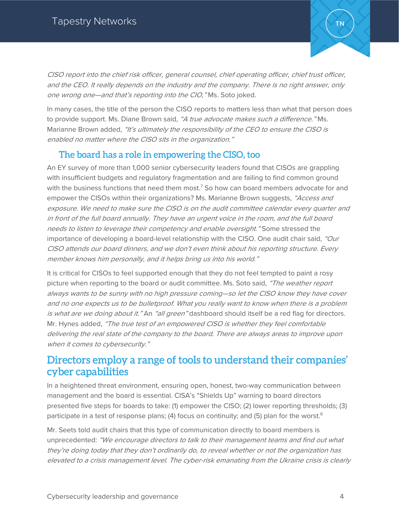

CISO report into the chief risk officer, general counsel, chief operating officer, chief trust officer, and the CEO. It really depends on the industry and the company. There is no right answer, only one wrong one—and that's reporting into the CIO," Ms. Soto joked.

In many cases, the title of the person the CISO reports to matters less than what that person does to provide support. Ms. Diane Brown said, "A true advocate makes such a difference." Ms. Marianne Brown added, "It's ultimately the responsibility of the CEO to ensure the CISO is enabled no matter where the CISO sits in the organization."

#### The board has a role in empowering the CISO, too

An EY survey of more than 1,000 senior cybersecurity leaders found that CISOs are grappling with insufficient budgets and regulatory fragmentation and are failing to find common ground with the business functions that need them most.<sup>7</sup> So how can board members advocate for and empower the CISOs within their organizations? Ms. Marianne Brown suggests, "Access and exposure. We need to make sure the CISO is on the audit committee calendar every quarter and in front of the full board annually. They have an urgent voice in the room, and the full board needs to listen to leverage their competency and enable oversight." Some stressed the importance of developing a board-level relationship with the CISO. One audit chair said, "Our CISO attends our board dinners, and we don't even think about his reporting structure. Every member knows him personally, and it helps bring us into his world."

It is critical for CISOs to feel supported enough that they do not feel tempted to paint a rosy picture when reporting to the board or audit committee. Ms. Soto said, "The weather report always wants to be sunny with no high pressure coming—so let the CISO know they have cover and no one expects us to be bulletproof. What you really want to know when there is a problem is what are we doing about it." An "all green" dashboard should itself be a red flag for directors. Mr. Hynes added, "The true test of an empowered CISO is whether they feel comfortable delivering the real state of the company to the board. There are always areas to improve upon when it comes to cybersecurity."

## Directors employ a range of tools to understand their companies' cyber capabilities

In a heightened threat environment, ensuring open, honest, two-way communication between management and the board is essential. CISA's "Shields Up" warning to board directors presented five steps for boards to take: (1) empower the CISO; (2) lower reporting thresholds; (3) participate in a test of response plans; (4) focus on continuity; and (5) plan for the worst.<sup>8</sup>

Mr. Seets told audit chairs that this type of communication directly to board members is unprecedented: "We encourage directors to talk to their management teams and find out what they're doing today that they don't ordinarily do, to reveal whether or not the organization has elevated to a crisis management level. The cyber-risk emanating from the Ukraine crisis is clearly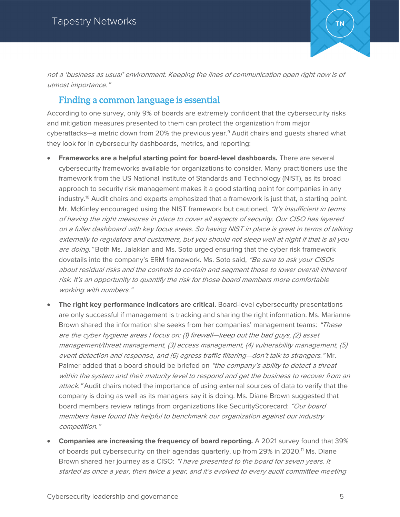

not a 'business as usual' environment. Keeping the lines of communication open right now is of utmost importance."

#### Finding a common language is essential

According to one survey, only 9% of boards are extremely confident that the cybersecurity risks and mitigation measures presented to them can protect the organization from major cyberattacks—a metric down from 20% the previous year.<sup>9</sup> Audit chairs and guests shared what they look for in cybersecurity dashboards, metrics, and reporting:

- **Frameworks are a helpful starting point for board-level dashboards.** There are several cybersecurity frameworks available for organizations to consider. Many practitioners use the framework from the US National Institute of Standards and Technology (NIST), as its broad approach to security risk management makes it a good starting point for companies in any industry.10 Audit chairs and experts emphasized that a framework is just that, a starting point. Mr. McKinley encouraged using the NIST framework but cautioned, "It's insufficient in terms of having the right measures in place to cover all aspects of security. Our CISO has layered on a fuller dashboard with key focus areas. So having NIST in place is great in terms of talking externally to regulators and customers, but you should not sleep well at night if that is all you are doing." Both Ms. Jalakian and Ms. Soto urged ensuring that the cyber risk framework dovetails into the company's ERM framework. Ms. Soto said, "Be sure to ask your CISOs about residual risks and the controls to contain and segment those to lower overall inherent risk. It's an opportunity to quantify the risk for those board members more comfortable working with numbers."
- **The right key performance indicators are critical.** Board-level cybersecurity presentations are only successful if management is tracking and sharing the right information. Ms. Marianne Brown shared the information she seeks from her companies' management teams: "These are the cyber hygiene areas I focus on: (1) firewall—keep out the bad guys, (2) asset management/threat management, (3) access management, (4) vulnerability management, (5) event detection and response, and (6) egress traffic filtering—don't talk to strangers." Mr. Palmer added that a board should be briefed on "the company's ability to detect a threat within the system and their maturity level to respond and get the business to recover from an attack." Audit chairs noted the importance of using external sources of data to verify that the company is doing as well as its managers say it is doing. Ms. Diane Brown suggested that board members review ratings from organizations like SecurityScorecard: "Our board members have found this helpful to benchmark our organization against our industry competition."
- **Companies are increasing the frequency of board reporting.** A 2021 survey found that 39% of boards put cybersecurity on their agendas quarterly, up from 29% in 2020.<sup>11</sup> Ms. Diane Brown shared her journey as a CISO: "I have presented to the board for seven years. It started as once a year, then twice a year, and it's evolved to every audit committee meeting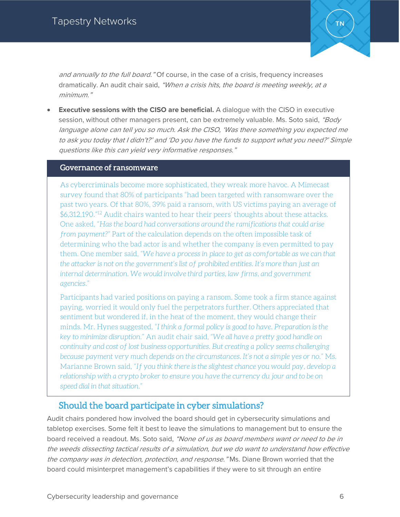

and annually to the full board." Of course, in the case of a crisis, frequency increases dramatically. An audit chair said, "When a crisis hits, the board is meeting weekly, at a minimum."

 **Executive sessions with the CISO are beneficial.** A dialogue with the CISO in executive session, without other managers present, can be extremely valuable. Ms. Soto said, "Body language alone can tell you so much. Ask the CISO, 'Was there something you expected me to ask you today that I didn't?' and 'Do you have the funds to support what you need?' Simple questions like this can yield very informative responses."

#### Governance of ransomware

As cybercriminals become more sophisticated, they wreak more havoc. A Mimecast survey found that 80% of participants "had been targeted with ransomware over the past two years. Of that 80%, 39% paid a ransom, with US victims paying an average of \$6,312,190."12 Audit chairs wanted to hear their peers' thoughts about these attacks. One asked, *"Has the board had conversations around the ramifications that could arise from payment?"* Part of the calculation depends on the often impossible task of determining who the bad actor is and whether the company is even permitted to pay them. One member said, *"We have a process in place to get as comfortable as we can that the attacker is not on the government's list of prohibited entities. It's more than just an internal determination. We would involve third parties, law firms, and government agencies."* 

Participants had varied positions on paying a ransom. Some took a firm stance against paying, worried it would only fuel the perpetrators further. Others appreciated that sentiment but wondered if, in the heat of the moment, they would change their minds. Mr. Hynes suggested, *"I think a formal policy is good to have. Preparation is the key to minimize disruption."* An audit chair said, *"We all have a pretty good handle on continuity and cost of lost business opportunities. But creating a policy seems challenging because payment very much depends on the circumstances. It's not a simple yes or no."* Ms. Marianne Brown said, *"If you think there is the slightest chance you would pay, develop a relationship with a crypto broker to ensure you have the currency du jour and to be on speed dial in that situation."*

#### Should the board participate in cyber simulations?

Audit chairs pondered how involved the board should get in cybersecurity simulations and tabletop exercises. Some felt it best to leave the simulations to management but to ensure the board received a readout. Ms. Soto said, "None of us as board members want or need to be in the weeds dissecting tactical results of a simulation, but we do want to understand how effective the company was in detection, protection, and response." Ms. Diane Brown worried that the board could misinterpret management's capabilities if they were to sit through an entire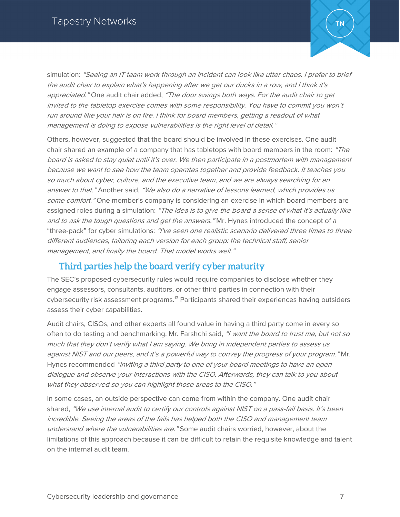

simulation: "Seeing an IT team work through an incident can look like utter chaos. I prefer to brief the audit chair to explain what's happening after we get our ducks in a row, and I think it's appreciated." One audit chair added, "The door swings both ways. For the audit chair to get invited to the tabletop exercise comes with some responsibility. You have to commit you won't run around like your hair is on fire. I think for board members, getting a readout of what management is doing to expose vulnerabilities is the right level of detail."

Others, however, suggested that the board should be involved in these exercises. One audit chair shared an example of a company that has tabletops with board members in the room: "The board is asked to stay quiet until it's over. We then participate in a postmortem with management because we want to see how the team operates together and provide feedback. It teaches you so much about cyber, culture, and the executive team, and we are always searching for an answer to that." Another said, "We also do a narrative of lessons learned, which provides us some comfort." One member's company is considering an exercise in which board members are assigned roles during a simulation: "The idea is to give the board a sense of what it's actually like and to ask the tough questions and get the answers." Mr. Hynes introduced the concept of a "three-pack" for cyber simulations: "I've seen one realistic scenario delivered three times to three different audiences, tailoring each version for each group: the technical staff, senior management, and finally the board. That model works well."

#### Third parties help the board verify cyber maturity

The SEC's proposed cybersecurity rules would require companies to disclose whether they engage assessors, consultants, auditors, or other third parties in connection with their cybersecurity risk assessment programs.<sup>13</sup> Participants shared their experiences having outsiders assess their cyber capabilities.

Audit chairs, CISOs, and other experts all found value in having a third party come in every so often to do testing and benchmarking. Mr. Farshchi said, "I want the board to trust me, but not so much that they don't verify what I am saying. We bring in independent parties to assess us against NIST and our peers, and it's a powerful way to convey the progress of your program." Mr. Hynes recommended "inviting a third party to one of your board meetings to have an open dialogue and observe your interactions with the CISO. Afterwards, they can talk to you about what they observed so you can highlight those areas to the CISO."

In some cases, an outside perspective can come from within the company. One audit chair shared, "We use internal audit to certify our controls against NIST on a pass-fail basis. It's been incredible. Seeing the areas of the fails has helped both the CISO and management team understand where the vulnerabilities are." Some audit chairs worried, however, about the limitations of this approach because it can be difficult to retain the requisite knowledge and talent on the internal audit team.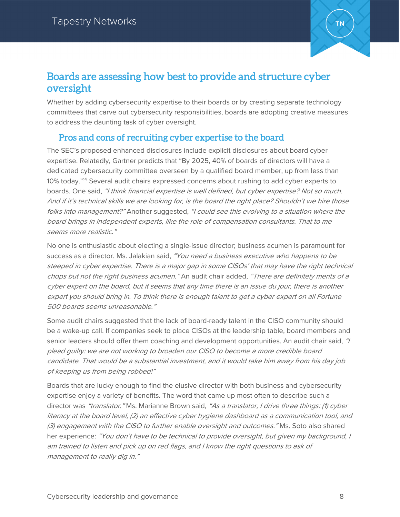

## Boards are assessing how best to provide and structure cyber oversight

Whether by adding cybersecurity expertise to their boards or by creating separate technology committees that carve out cybersecurity responsibilities, boards are adopting creative measures to address the daunting task of cyber oversight.

#### Pros and cons of recruiting cyber expertise to the board

The SEC's proposed enhanced disclosures include explicit disclosures about board cyber expertise. Relatedly, Gartner predicts that "By 2025, 40% of boards of directors will have a dedicated cybersecurity committee overseen by a qualified board member, up from less than 10% today."14 Several audit chairs expressed concerns about rushing to add cyber experts to boards. One said, "I think financial expertise is well defined, but cyber expertise? Not so much. And if it's technical skills we are looking for, is the board the right place? Shouldn't we hire those folks into management?" Another suggested, "I could see this evolving to a situation where the board brings in independent experts, like the role of compensation consultants. That to me seems more realistic."

No one is enthusiastic about electing a single-issue director; business acumen is paramount for success as a director. Ms. Jalakian said, "You need a business executive who happens to be steeped in cyber expertise. There is a major gap in some CISOs' that may have the right technical chops but not the right business acumen." An audit chair added, "There are definitely merits of a cyber expert on the board, but it seems that any time there is an issue du jour, there is another expert you should bring in. To think there is enough talent to get a cyber expert on all Fortune 500 boards seems unreasonable."

Some audit chairs suggested that the lack of board-ready talent in the CISO community should be a wake-up call. If companies seek to place CISOs at the leadership table, board members and senior leaders should offer them coaching and development opportunities. An audit chair said, "I plead guilty: we are not working to broaden our CISO to become a more credible board candidate. That would be a substantial investment, and it would take him away from his day job of keeping us from being robbed!"

Boards that are lucky enough to find the elusive director with both business and cybersecurity expertise enjoy a variety of benefits. The word that came up most often to describe such a director was "translator." Ms. Marianne Brown said, "As a translator, I drive three things: (1) cyber literacy at the board level, (2) an effective cyber hygiene dashboard as a communication tool, and (3) engagement with the CISO to further enable oversight and outcomes." Ms. Soto also shared her experience: "You don't have to be technical to provide oversight, but given my background, I am trained to listen and pick up on red flags, and I know the right questions to ask of management to really dig in."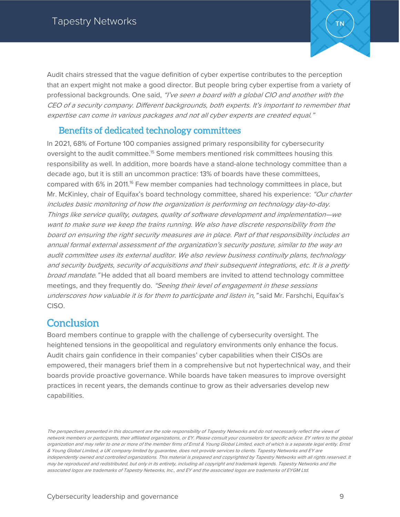

Audit chairs stressed that the vague definition of cyber expertise contributes to the perception that an expert might not make a good director. But people bring cyber expertise from a variety of professional backgrounds. One said, "I've seen a board with a global CIO and another with the CEO of a security company. Different backgrounds, both experts. It's important to remember that expertise can come in various packages and not all cyber experts are created equal."

#### Benefits of dedicated technology committees

In 2021, 68% of Fortune 100 companies assigned primary responsibility for cybersecurity oversight to the audit committee.<sup>15</sup> Some members mentioned risk committees housing this responsibility as well. In addition, more boards have a stand-alone technology committee than a decade ago, but it is still an uncommon practice: 13% of boards have these committees, compared with 6% in 2011.<sup>16</sup> Few member companies had technology committees in place, but Mr. McKinley, chair of Equifax's board technology committee, shared his experience: "Our charter includes basic monitoring of how the organization is performing on technology day-to-day. Things like service quality, outages, quality of software development and implementation—we want to make sure we keep the trains running. We also have discrete responsibility from the board on ensuring the right security measures are in place. Part of that responsibility includes an annual formal external assessment of the organization's security posture, similar to the way an audit committee uses its external auditor. We also review business continuity plans, technology and security budgets, security of acquisitions and their subsequent integrations, etc. It is a pretty broad mandate." He added that all board members are invited to attend technology committee meetings, and they frequently do. "Seeing their level of engagement in these sessions underscores how valuable it is for them to participate and listen in," said Mr. Farshchi, Equifax's CISO.

## **Conclusion**

Board members continue to grapple with the challenge of cybersecurity oversight. The heightened tensions in the geopolitical and regulatory environments only enhance the focus. Audit chairs gain confidence in their companies' cyber capabilities when their CISOs are empowered, their managers brief them in a comprehensive but not hypertechnical way, and their boards provide proactive governance. While boards have taken measures to improve oversight practices in recent years, the demands continue to grow as their adversaries develop new capabilities.

The perspectives presented in this document are the sole responsibility of Tapestry Networks and do not necessarily reflect the views of network members or participants, their affiliated organizations, or EY. Please consult your counselors for specific advice. EY refers to the global organization and may refer to one or more of the member firms of Ernst & Young Global Limited, each of which is a separate legal entity. Ernst & Young Global Limited, a UK company limited by guarantee, does not provide services to clients. Tapestry Networks and EY are independently owned and controlled organizations. This material is prepared and copyrighted by Tapestry Networks with all rights reserved. It may be reproduced and redistributed, but only in its entirety, including all copyright and trademark legends. Tapestry Networks and the associated logos are trademarks of Tapestry Networks, Inc., and EY and the associated logos are trademarks of EYGM Ltd.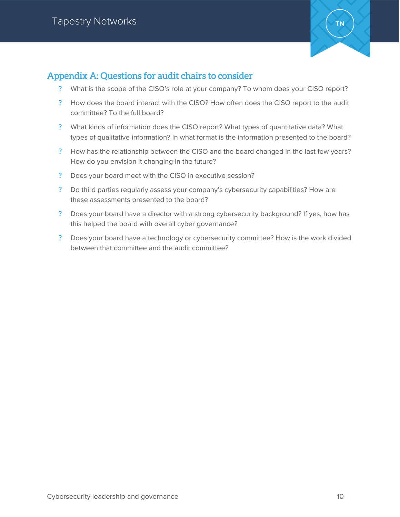

#### Appendix A: Questions for audit chairs to consider

- ? What is the scope of the CISO's role at your company? To whom does your CISO report?
- ? How does the board interact with the CISO? How often does the CISO report to the audit committee? To the full board?
- ? What kinds of information does the CISO report? What types of quantitative data? What types of qualitative information? In what format is the information presented to the board?
- ? How has the relationship between the CISO and the board changed in the last few years? How do you envision it changing in the future?
- ? Does your board meet with the CISO in executive session?
- ? Do third parties regularly assess your company's cybersecurity capabilities? How are these assessments presented to the board?
- ? Does your board have a director with a strong cybersecurity background? If yes, how has this helped the board with overall cyber governance?
- ? Does your board have a technology or cybersecurity committee? How is the work divided between that committee and the audit committee?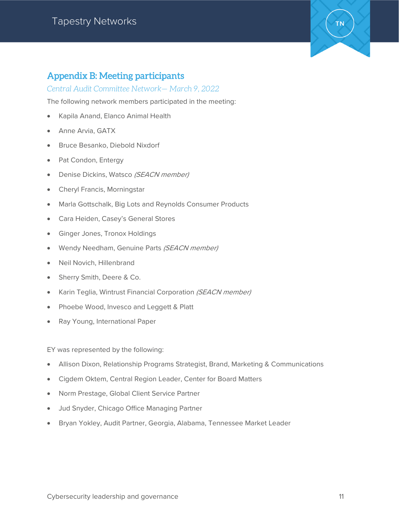

### Appendix B: Meeting participants

#### *Central Audit Committee Network— March 9, 2022*

The following network members participated in the meeting:

- Kapila Anand, Elanco Animal Health
- Anne Arvia, GATX
- **•** Bruce Besanko, Diebold Nixdorf
- Pat Condon, Entergy
- Denise Dickins, Watsco (SEACN member)
- Cheryl Francis, Morningstar
- Marla Gottschalk, Big Lots and Reynolds Consumer Products
- Cara Heiden, Casey's General Stores
- **•** Ginger Jones, Tronox Holdings
- Wendy Needham, Genuine Parts (SEACN member)
- Neil Novich, Hillenbrand
- Sherry Smith, Deere & Co.
- Karin Teglia, Wintrust Financial Corporation (SEACN member)
- Phoebe Wood, Invesco and Leggett & Platt
- Ray Young, International Paper

- Allison Dixon, Relationship Programs Strategist, Brand, Marketing & Communications
- Cigdem Oktem, Central Region Leader, Center for Board Matters
- Norm Prestage, Global Client Service Partner
- Jud Snyder, Chicago Office Managing Partner
- Bryan Yokley, Audit Partner, Georgia, Alabama, Tennessee Market Leader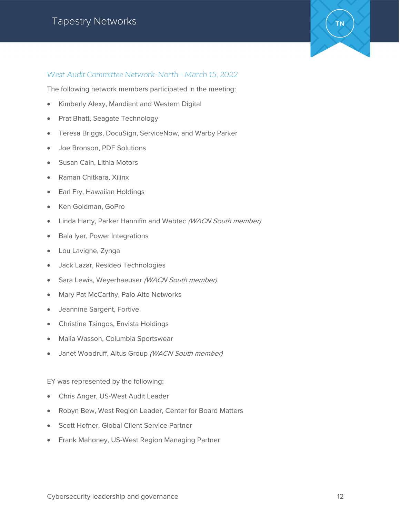

#### *West Audit Committee Network-North—March 15, 2022*

The following network members participated in the meeting:

- Kimberly Alexy, Mandiant and Western Digital
- Prat Bhatt, Seagate Technology
- Teresa Briggs, DocuSign, ServiceNow, and Warby Parker
- Joe Bronson, PDF Solutions
- Susan Cain, Lithia Motors
- Raman Chitkara, Xilinx
- Earl Fry, Hawaiian Holdings
- Ken Goldman, GoPro
- Linda Harty, Parker Hannifin and Wabtec (WACN South member)
- Bala Iyer, Power Integrations
- Lou Lavigne, Zynga
- Jack Lazar, Resideo Technologies
- Sara Lewis, Weyerhaeuser (WACN South member)
- Mary Pat McCarthy, Palo Alto Networks
- Jeannine Sargent, Fortive
- Christine Tsingos, Envista Holdings
- Malia Wasson, Columbia Sportswear
- Janet Woodruff, Altus Group (WACN South member)

- Chris Anger, US-West Audit Leader
- Robyn Bew, West Region Leader, Center for Board Matters
- Scott Hefner, Global Client Service Partner
- Frank Mahoney, US-West Region Managing Partner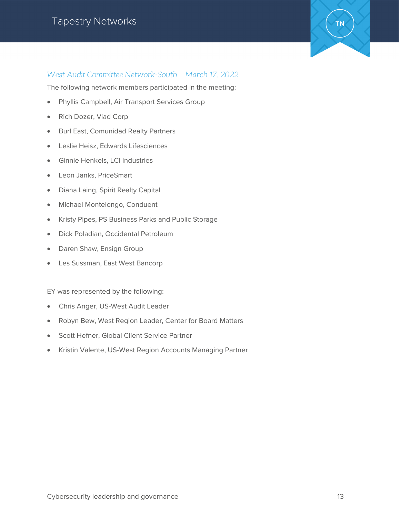

#### *West Audit Committee Network-South— March 17, 2022*

The following network members participated in the meeting:

- Phyllis Campbell, Air Transport Services Group
- Rich Dozer, Viad Corp
- **Burl East, Comunidad Realty Partners**
- Leslie Heisz, Edwards Lifesciences
- Ginnie Henkels, LCI Industries
- Leon Janks, PriceSmart
- Diana Laing, Spirit Realty Capital
- Michael Montelongo, Conduent
- Kristy Pipes, PS Business Parks and Public Storage
- Dick Poladian, Occidental Petroleum
- Daren Shaw, Ensign Group
- Les Sussman, East West Bancorp

- Chris Anger, US-West Audit Leader
- Robyn Bew, West Region Leader, Center for Board Matters
- Scott Hefner, Global Client Service Partner
- Kristin Valente, US-West Region Accounts Managing Partner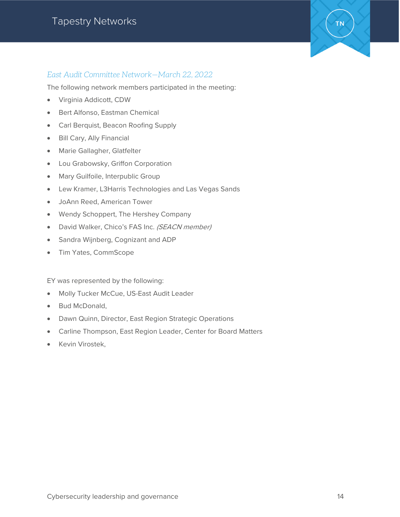

#### *East Audit Committee Network—March 22, 2022*

The following network members participated in the meeting:

- Virginia Addicott, CDW
- Bert Alfonso, Eastman Chemical
- Carl Berquist, Beacon Roofing Supply
- Bill Cary, Ally Financial
- Marie Gallagher, Glatfelter
- Lou Grabowsky, Griffon Corporation
- Mary Guilfoile, Interpublic Group
- Lew Kramer, L3Harris Technologies and Las Vegas Sands
- JoAnn Reed, American Tower
- Wendy Schoppert, The Hershey Company
- David Walker, Chico's FAS Inc. (SEACN member)
- Sandra Wijnberg, Cognizant and ADP
- Tim Yates, CommScope

- Molly Tucker McCue, US-East Audit Leader
- Bud McDonald,
- Dawn Quinn, Director, East Region Strategic Operations
- Carline Thompson, East Region Leader, Center for Board Matters
- Kevin Virostek,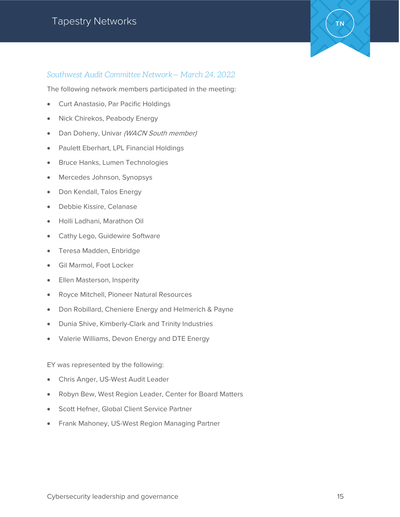

#### *Southwest Audit Committee Network— March 24, 2022*

The following network members participated in the meeting:

- Curt Anastasio, Par Pacific Holdings
- Nick Chirekos, Peabody Energy
- Dan Doheny, Univar (WACN South member)
- Paulett Eberhart, LPL Financial Holdings
- Bruce Hanks, Lumen Technologies
- Mercedes Johnson, Synopsys
- Don Kendall, Talos Energy
- Debbie Kissire, Celanase
- Holli Ladhani, Marathon Oil
- Cathy Lego, Guidewire Software
- Teresa Madden, Enbridge
- Gil Marmol, Foot Locker
- Ellen Masterson, Insperity
- Royce Mitchell, Pioneer Natural Resources
- Don Robillard, Cheniere Energy and Helmerich & Payne
- Dunia Shive, Kimberly-Clark and Trinity Industries
- Valerie Williams, Devon Energy and DTE Energy

- Chris Anger, US-West Audit Leader
- Robyn Bew, West Region Leader, Center for Board Matters
- Scott Hefner, Global Client Service Partner
- Frank Mahoney, US-West Region Managing Partner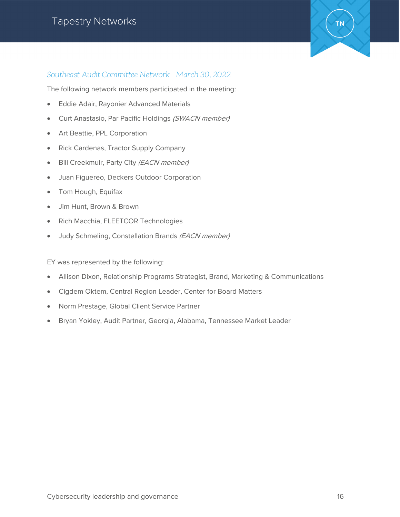

#### *Southeast Audit Committee Network—March 30, 2022*

The following network members participated in the meeting:

- Eddie Adair, Rayonier Advanced Materials
- Curt Anastasio, Par Pacific Holdings (SWACN member)
- Art Beattie, PPL Corporation
- Rick Cardenas, Tractor Supply Company
- Bill Creekmuir, Party City (EACN member)
- Juan Figuereo, Deckers Outdoor Corporation
- Tom Hough, Equifax
- Jim Hunt, Brown & Brown
- Rich Macchia, FLEETCOR Technologies
- Judy Schmeling, Constellation Brands (EACN member)

- Allison Dixon, Relationship Programs Strategist, Brand, Marketing & Communications
- Cigdem Oktem, Central Region Leader, Center for Board Matters
- Norm Prestage, Global Client Service Partner
- Bryan Yokley, Audit Partner, Georgia, Alabama, Tennessee Market Leader